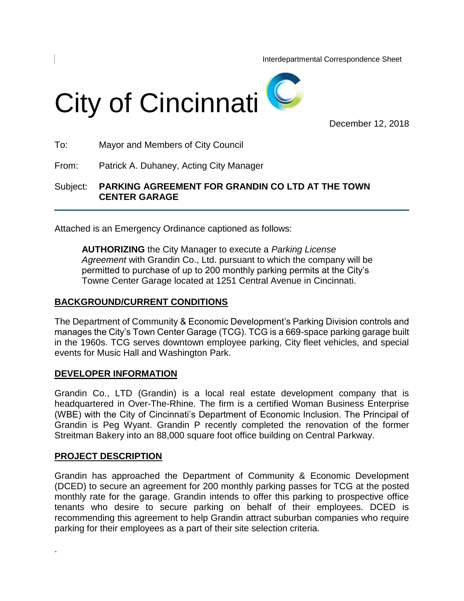Interdepartmental Correspondence Sheet



December 12, 2018

To: Mayor and Members of City Council

From: Patrick A. Duhaney, Acting City Manager

Subject: **PARKING AGREEMENT FOR GRANDIN CO LTD AT THE TOWN CENTER GARAGE**

Attached is an Emergency Ordinance captioned as follows:

**AUTHORIZING** the City Manager to execute a *Parking License Agreement* with Grandin Co., Ltd. pursuant to which the company will be permitted to purchase of up to 200 monthly parking permits at the City's Towne Center Garage located at 1251 Central Avenue in Cincinnati.

## **BACKGROUND/CURRENT CONDITIONS**

The Department of Community & Economic Development's Parking Division controls and manages the City's Town Center Garage (TCG). TCG is a 669-space parking garage built in the 1960s. TCG serves downtown employee parking, City fleet vehicles, and special events for Music Hall and Washington Park.

## **DEVELOPER INFORMATION**

Grandin Co., LTD (Grandin) is a local real estate development company that is headquartered in Over-The-Rhine. The firm is a certified Woman Business Enterprise (WBE) with the City of Cincinnati's Department of Economic Inclusion. The Principal of Grandin is Peg Wyant. Grandin P recently completed the renovation of the former Streitman Bakery into an 88,000 square foot office building on Central Parkway.

# **PROJECT DESCRIPTION**

.

Grandin has approached the Department of Community & Economic Development (DCED) to secure an agreement for 200 monthly parking passes for TCG at the posted monthly rate for the garage. Grandin intends to offer this parking to prospective office tenants who desire to secure parking on behalf of their employees. DCED is recommending this agreement to help Grandin attract suburban companies who require parking for their employees as a part of their site selection criteria.